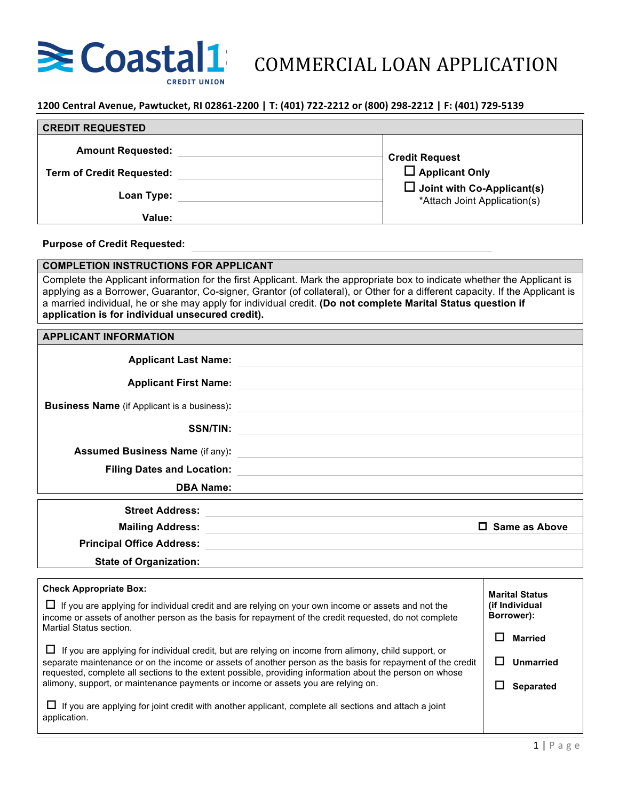

**1200 Central Avenue, Pawtucket, RI 02861-2200 | T: (401) 722-2212 or (800) 298-2212 | F: (401) 729-5139** 

| <b>CREDIT REQUESTED</b>          |                                                                   |
|----------------------------------|-------------------------------------------------------------------|
| <b>Amount Requested:</b>         | <b>Credit Request</b>                                             |
| <b>Term of Credit Requested:</b> | $\square$ Applicant Only                                          |
| Loan Type:                       | $\Box$ Joint with Co-Applicant(s)<br>*Attach Joint Application(s) |
| Value:                           |                                                                   |

#### **Purpose of Credit Requested:**

**COMPLETION INSTRUCTIONS FOR APPLICANT**

Complete the Applicant information for the first Applicant. Mark the appropriate box to indicate whether the Applicant is applying as a Borrower, Guarantor, Co-signer, Grantor (of collateral), or Other for a different capacity. If the Applicant is a married individual, he or she may apply for individual credit. **(Do not complete Marital Status question if application is for individual unsecured credit).** 

#### **APPLICANT INFORMATION**

| <b>Applicant Last Name:</b>                        |                                                                                                                                                                                                                     |                                                |
|----------------------------------------------------|---------------------------------------------------------------------------------------------------------------------------------------------------------------------------------------------------------------------|------------------------------------------------|
| <b>Applicant First Name:</b>                       |                                                                                                                                                                                                                     |                                                |
| <b>Business Name</b> (if Applicant is a business): |                                                                                                                                                                                                                     |                                                |
| <b>SSN/TIN:</b>                                    |                                                                                                                                                                                                                     |                                                |
| <b>Assumed Business Name (if any):</b>             | <u> 1980 - Johann Stein, mars an de Britannich (b. 1980)</u>                                                                                                                                                        |                                                |
| <b>Filing Dates and Location:</b>                  | <u> 1980 - Andrea Andrew Maria (h. 1980).</u><br>1900 - Andrew Maria (h. 1900).                                                                                                                                     |                                                |
| <b>DBA Name:</b>                                   |                                                                                                                                                                                                                     |                                                |
| <b>Street Address:</b>                             |                                                                                                                                                                                                                     |                                                |
| <b>Mailing Address:</b>                            |                                                                                                                                                                                                                     | $\Box$ Same as Above                           |
| <b>Principal Office Address:</b>                   |                                                                                                                                                                                                                     |                                                |
| <b>State of Organization:</b>                      |                                                                                                                                                                                                                     |                                                |
| <b>Check Appropriate Box:</b>                      |                                                                                                                                                                                                                     | <b>Marital Status</b>                          |
| Martial Status section.                            | $\Box$ If you are applying for individual credit and are relying on your own income or assets and not the<br>income or assets of another person as the basis for repayment of the credit requested, do not complete | (if Individual<br>Borrower):<br><b>Married</b> |

 $\Box$  If you are applying for individual credit, but are relying on income from alimony, child support, or separate maintenance or on the income or assets of another person as the basis for repayment of the credit requested, complete all sections to the extent possible, providing information about the person on whose alimony, support, or maintenance payments or income or assets you are relying on.

 $\Box$  If you are applying for joint credit with another applicant, complete all sections and attach a joint application.

o **Unmarried**

 $\square$  Separated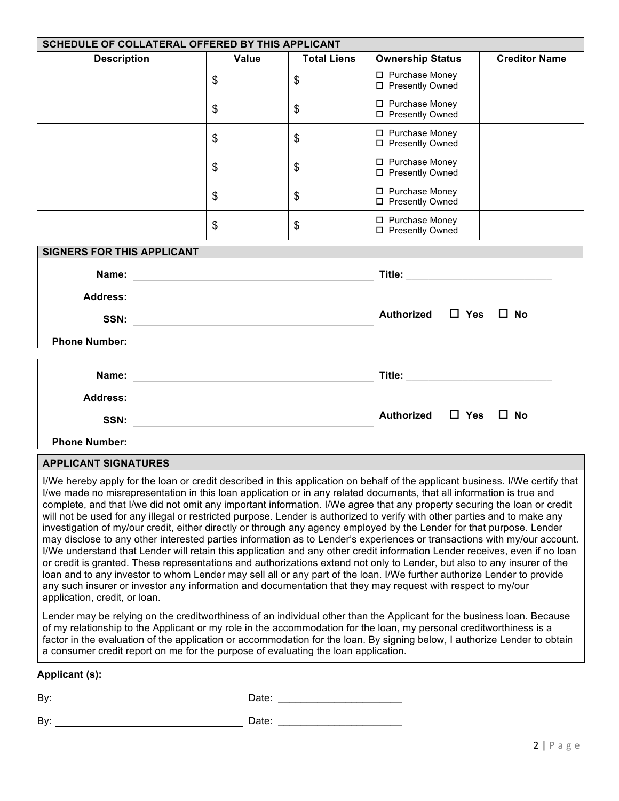| SCHEDULE OF COLLATERAL OFFERED BY THIS APPLICANT                                                                                                                                                                                                                                                                                                                                                                                                                                                                                                                                                                                                                                                                                                                                                                                                                                                                                                                                                                                                                                                                                                                                                                                                                                                                                                                                                                                   |                                                                                                                                                                                                                                                                         |                    |                                                                                                                        |                      |  |
|------------------------------------------------------------------------------------------------------------------------------------------------------------------------------------------------------------------------------------------------------------------------------------------------------------------------------------------------------------------------------------------------------------------------------------------------------------------------------------------------------------------------------------------------------------------------------------------------------------------------------------------------------------------------------------------------------------------------------------------------------------------------------------------------------------------------------------------------------------------------------------------------------------------------------------------------------------------------------------------------------------------------------------------------------------------------------------------------------------------------------------------------------------------------------------------------------------------------------------------------------------------------------------------------------------------------------------------------------------------------------------------------------------------------------------|-------------------------------------------------------------------------------------------------------------------------------------------------------------------------------------------------------------------------------------------------------------------------|--------------------|------------------------------------------------------------------------------------------------------------------------|----------------------|--|
| <b>Description</b>                                                                                                                                                                                                                                                                                                                                                                                                                                                                                                                                                                                                                                                                                                                                                                                                                                                                                                                                                                                                                                                                                                                                                                                                                                                                                                                                                                                                                 | <b>Value</b>                                                                                                                                                                                                                                                            | <b>Total Liens</b> | <b>Ownership Status</b>                                                                                                | <b>Creditor Name</b> |  |
|                                                                                                                                                                                                                                                                                                                                                                                                                                                                                                                                                                                                                                                                                                                                                                                                                                                                                                                                                                                                                                                                                                                                                                                                                                                                                                                                                                                                                                    | \$                                                                                                                                                                                                                                                                      | \$                 | □ Purchase Money<br>□ Presently Owned                                                                                  |                      |  |
|                                                                                                                                                                                                                                                                                                                                                                                                                                                                                                                                                                                                                                                                                                                                                                                                                                                                                                                                                                                                                                                                                                                                                                                                                                                                                                                                                                                                                                    | \$                                                                                                                                                                                                                                                                      | \$                 | □ Purchase Money<br>□ Presently Owned                                                                                  |                      |  |
|                                                                                                                                                                                                                                                                                                                                                                                                                                                                                                                                                                                                                                                                                                                                                                                                                                                                                                                                                                                                                                                                                                                                                                                                                                                                                                                                                                                                                                    | \$                                                                                                                                                                                                                                                                      | \$                 | □ Purchase Money<br>□ Presently Owned                                                                                  |                      |  |
|                                                                                                                                                                                                                                                                                                                                                                                                                                                                                                                                                                                                                                                                                                                                                                                                                                                                                                                                                                                                                                                                                                                                                                                                                                                                                                                                                                                                                                    | \$                                                                                                                                                                                                                                                                      | \$                 | □ Purchase Money<br>□ Presently Owned                                                                                  |                      |  |
|                                                                                                                                                                                                                                                                                                                                                                                                                                                                                                                                                                                                                                                                                                                                                                                                                                                                                                                                                                                                                                                                                                                                                                                                                                                                                                                                                                                                                                    | \$                                                                                                                                                                                                                                                                      | \$                 | □ Purchase Money<br>□ Presently Owned                                                                                  |                      |  |
|                                                                                                                                                                                                                                                                                                                                                                                                                                                                                                                                                                                                                                                                                                                                                                                                                                                                                                                                                                                                                                                                                                                                                                                                                                                                                                                                                                                                                                    | □ Purchase Money<br>\$<br>\$<br>□ Presently Owned                                                                                                                                                                                                                       |                    |                                                                                                                        |                      |  |
| <b>SIGNERS FOR THIS APPLICANT</b>                                                                                                                                                                                                                                                                                                                                                                                                                                                                                                                                                                                                                                                                                                                                                                                                                                                                                                                                                                                                                                                                                                                                                                                                                                                                                                                                                                                                  |                                                                                                                                                                                                                                                                         |                    |                                                                                                                        |                      |  |
|                                                                                                                                                                                                                                                                                                                                                                                                                                                                                                                                                                                                                                                                                                                                                                                                                                                                                                                                                                                                                                                                                                                                                                                                                                                                                                                                                                                                                                    |                                                                                                                                                                                                                                                                         |                    |                                                                                                                        |                      |  |
| Address: Andreas Address: Address: Address: Address: Address: Address: Address: Address: Address: A                                                                                                                                                                                                                                                                                                                                                                                                                                                                                                                                                                                                                                                                                                                                                                                                                                                                                                                                                                                                                                                                                                                                                                                                                                                                                                                                |                                                                                                                                                                                                                                                                         |                    |                                                                                                                        |                      |  |
|                                                                                                                                                                                                                                                                                                                                                                                                                                                                                                                                                                                                                                                                                                                                                                                                                                                                                                                                                                                                                                                                                                                                                                                                                                                                                                                                                                                                                                    | Authorized $\Box$ Yes<br>$\square$ No<br>SSN: New York State Committee of the Committee of the Committee of the Committee of the Committee of the Committee of the Committee of the Committee of the Committee of the Committee of the Committee of the Committee of th |                    |                                                                                                                        |                      |  |
| <b>Phone Number:</b>                                                                                                                                                                                                                                                                                                                                                                                                                                                                                                                                                                                                                                                                                                                                                                                                                                                                                                                                                                                                                                                                                                                                                                                                                                                                                                                                                                                                               |                                                                                                                                                                                                                                                                         |                    |                                                                                                                        |                      |  |
|                                                                                                                                                                                                                                                                                                                                                                                                                                                                                                                                                                                                                                                                                                                                                                                                                                                                                                                                                                                                                                                                                                                                                                                                                                                                                                                                                                                                                                    |                                                                                                                                                                                                                                                                         |                    | Title: __________________________________                                                                              |                      |  |
| <b>Address:</b>                                                                                                                                                                                                                                                                                                                                                                                                                                                                                                                                                                                                                                                                                                                                                                                                                                                                                                                                                                                                                                                                                                                                                                                                                                                                                                                                                                                                                    | <u> 1989 - Andrea Station Barbara, amerikan personal personal personal personal personal personal personal personal per</u>                                                                                                                                             |                    |                                                                                                                        |                      |  |
|                                                                                                                                                                                                                                                                                                                                                                                                                                                                                                                                                                                                                                                                                                                                                                                                                                                                                                                                                                                                                                                                                                                                                                                                                                                                                                                                                                                                                                    | SSN:                                                                                                                                                                                                                                                                    |                    | Authorized □ Yes □ No                                                                                                  |                      |  |
| <b>Phone Number:</b>                                                                                                                                                                                                                                                                                                                                                                                                                                                                                                                                                                                                                                                                                                                                                                                                                                                                                                                                                                                                                                                                                                                                                                                                                                                                                                                                                                                                               |                                                                                                                                                                                                                                                                         |                    | <u> 1989 - Johann Stoff, deutscher Stoffen und der Stoffen und der Stoffen und der Stoffen und der Stoffen und der</u> |                      |  |
| <b>APPLICANT SIGNATURES</b>                                                                                                                                                                                                                                                                                                                                                                                                                                                                                                                                                                                                                                                                                                                                                                                                                                                                                                                                                                                                                                                                                                                                                                                                                                                                                                                                                                                                        |                                                                                                                                                                                                                                                                         |                    |                                                                                                                        |                      |  |
| I/We hereby apply for the loan or credit described in this application on behalf of the applicant business. I/We certify that<br>I/we made no misrepresentation in this loan application or in any related documents, that all information is true and<br>complete, and that I/we did not omit any important information. I/We agree that any property securing the loan or credit<br>will not be used for any illegal or restricted purpose. Lender is authorized to verify with other parties and to make any<br>investigation of my/our credit, either directly or through any agency employed by the Lender for that purpose. Lender<br>may disclose to any other interested parties information as to Lender's experiences or transactions with my/our account.<br>I/We understand that Lender will retain this application and any other credit information Lender receives, even if no loan<br>or credit is granted. These representations and authorizations extend not only to Lender, but also to any insurer of the<br>loan and to any investor to whom Lender may sell all or any part of the loan. I/We further authorize Lender to provide<br>any such insurer or investor any information and documentation that they may request with respect to my/our<br>application, credit, or loan.<br>Lender may be relying on the creditworthiness of an individual other than the Applicant for the business loan. Because |                                                                                                                                                                                                                                                                         |                    |                                                                                                                        |                      |  |
| of my relationship to the Applicant or my role in the accommodation for the loan, my personal creditworthiness is a<br>factor in the evaluation of the application or accommodation for the loan. By signing below, I authorize Lender to obtain<br>a consumer credit report on me for the purpose of evaluating the loan application.                                                                                                                                                                                                                                                                                                                                                                                                                                                                                                                                                                                                                                                                                                                                                                                                                                                                                                                                                                                                                                                                                             |                                                                                                                                                                                                                                                                         |                    |                                                                                                                        |                      |  |
| <b>Applicant (s):</b>                                                                                                                                                                                                                                                                                                                                                                                                                                                                                                                                                                                                                                                                                                                                                                                                                                                                                                                                                                                                                                                                                                                                                                                                                                                                                                                                                                                                              |                                                                                                                                                                                                                                                                         |                    |                                                                                                                        |                      |  |

By: Date: \_\_\_\_\_\_\_\_\_\_\_\_\_\_\_\_\_\_\_\_\_\_

By: Date: \_\_\_\_\_\_\_\_\_\_\_\_\_\_\_\_\_\_\_\_\_\_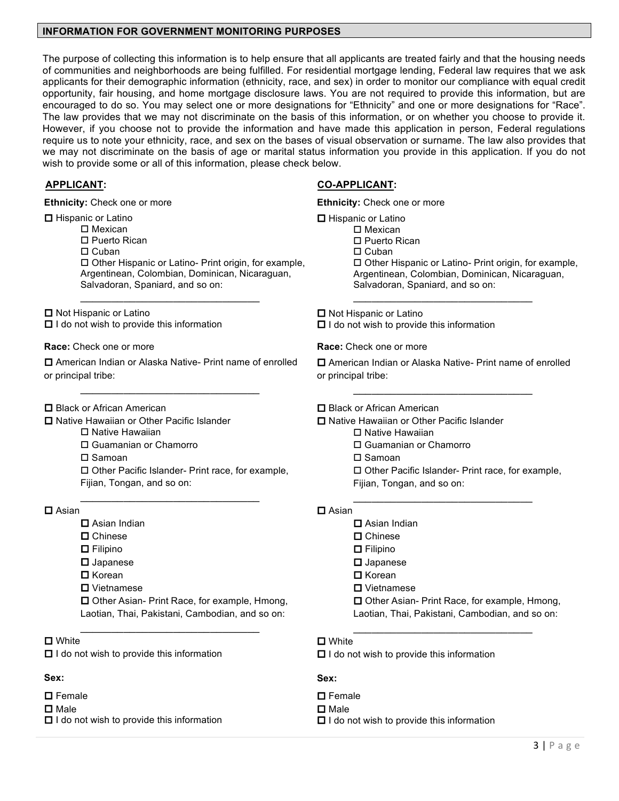#### **INFORMATION FOR GOVERNMENT MONITORING PURPOSES**

The purpose of collecting this information is to help ensure that all applicants are treated fairly and that the housing needs of communities and neighborhoods are being fulfilled. For residential mortgage lending, Federal law requires that we ask applicants for their demographic information (ethnicity, race, and sex) in order to monitor our compliance with equal credit opportunity, fair housing, and home mortgage disclosure laws. You are not required to provide this information, but are encouraged to do so. You may select one or more designations for "Ethnicity" and one or more designations for "Race". The law provides that we may not discriminate on the basis of this information, or on whether you choose to provide it. However, if you choose not to provide the information and have made this application in person, Federal regulations require us to note your ethnicity, race, and sex on the bases of visual observation or surname. The law also provides that we may not discriminate on the basis of age or marital status information you provide in this application. If you do not wish to provide some or all of this information, please check below.

**Ethnicity:** Check one or more

 $\square$  Hispanic or Latino

□ Mexican

 $\square$  Puerto Rican

 $\Box$  Cuban

 $\square$  Other Hispanic or Latino- Print origin, for example, Argentinean, Colombian, Dominican, Nicaraguan, Salvadoran, Spaniard, and so on:

 $\square$  Not Hispanic or Latino  $\Box$  I do not wish to provide this information

**Race:** Check one or more

 $\square$  American Indian or Alaska Native- Print name of enrolled or principal tribe:

 $\overline{\phantom{a}}$ 

 $\overline{\phantom{a}}$ 

 $\square$  Black or African American

- **□ Native Hawaiian or Other Pacific Islander** 
	- $\square$  Native Hawaiian
	- □ Guamanian or Chamorro

 $\square$  Samoan

 $\square$  Other Pacific Islander- Print race, for example, Fijian, Tongan, and so on:

#### $\Box$  Asian

- $\square$  Asian Indian
- $\square$  Chinese
- $\Box$  Filipino
- $\square$  Japanese
- $\square$  Korean
- $\square$  Vietnamese

 $\square$  Other Asian- Print Race, for example, Hmong, Laotian, Thai, Pakistani, Cambodian, and so on:

 $\overline{\phantom{a}}$ 

## $\Box$  White

 $\Box$  I do not wish to provide this information

## **Sex:**

 $\square$  Female

 $\square$  Male

 $\Box$  I do not wish to provide this information

## **APPLICANT: CO-APPLICANT:**

**Ethnicity:** Check one or more  $\Box$  Hispanic or Latino  $\square$  Mexican  $\square$  Puerto Rican  $\Box$  Cuban  $\square$  Other Hispanic or Latino- Print origin, for example, Argentinean, Colombian, Dominican, Nicaraguan, Salvadoran, Spaniard, and so on:  $\overline{\phantom{a}}$ 

 $\Box$  Not Hispanic or Latino  $\Box$  I do not wish to provide this information

**Race:** Check one or more

 $\square$  American Indian or Alaska Native- Print name of enrolled or principal tribe:

 $\square$  Black or African American

 $\square$  Native Hawaiian or Other Pacific Islander

- $\square$  Native Hawaiian
- o Guamanian or Chamorro
- $\square$  Samoan
- $\square$  Other Pacific Islander- Print race, for example, Fijian, Tongan, and so on:

 $\overline{\phantom{a}}$ 

## $\square$  Asian

- $\square$  Asian Indian  $\square$  Chinese o Filipino  $\square$  Japanese
	- $\Box$  Korean
	- $\square$  Vietnamese
	- $\square$  Other Asian- Print Race, for example, Hmong,

 $\overline{\phantom{a}}$ 

Laotian, Thai, Pakistani, Cambodian, and so on:

## $\square$  White

 $\Box$  I do not wish to provide this information

## **Sex:**

- $\square$  Female
- $\square$  Male
- $\Box$  I do not wish to provide this information